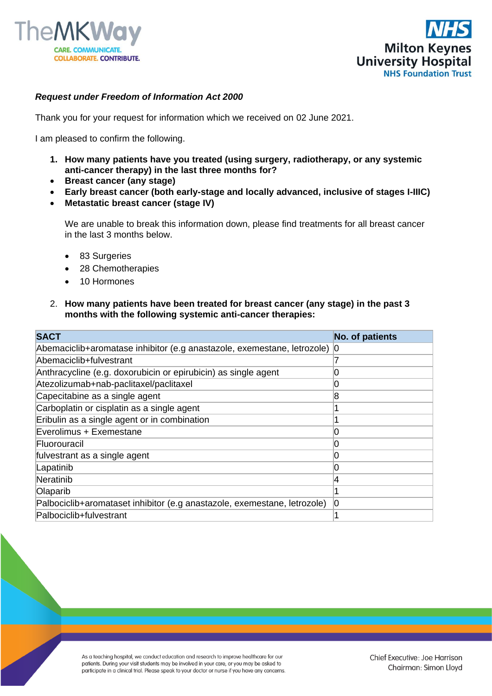



## *Request under Freedom of Information Act 2000*

Thank you for your request for information which we received on 02 June 2021.

I am pleased to confirm the following.

- **1. How many patients have you treated (using surgery, radiotherapy, or any systemic anti-cancer therapy) in the last three months for?**
- **Breast cancer (any stage)**
- **Early breast cancer (both early-stage and locally advanced, inclusive of stages I-IIIC)**
- **Metastatic breast cancer (stage IV)**

We are unable to break this information down, please find treatments for all breast cancer in the last 3 months below.

- 83 Surgeries
- 28 Chemotherapies
- 10 Hormones
- 2. **How many patients have been treated for breast cancer (any stage) in the past 3 months with the following systemic anti-cancer therapies:**

| <b>SACT</b>                                                                 | <b>No. of patients</b> |
|-----------------------------------------------------------------------------|------------------------|
| Abemaciclib+aromatase inhibitor (e.g anastazole, exemestane, letrozole)   0 |                        |
| Abemaciclib+fulvestrant                                                     |                        |
| Anthracycline (e.g. doxorubicin or epirubicin) as single agent              | 0                      |
| Atezolizumab+nab-paclitaxel/paclitaxel                                      | O                      |
| Capecitabine as a single agent                                              | 8                      |
| Carboplatin or cisplatin as a single agent                                  |                        |
| Eribulin as a single agent or in combination                                |                        |
| Everolimus + Exemestane                                                     | 0                      |
| lFluorouracil                                                               | 0                      |
| fulvestrant as a single agent                                               | 0                      |
| Lapatinib                                                                   | 0                      |
| Neratinib                                                                   | 14                     |
| Olaparib                                                                    |                        |
| Palbociclib+aromataset inhibitor (e.g anastazole, exemestane, letrozole)    | Ю                      |
| Palbociclib+fulvestrant                                                     |                        |

As a teaching hospital, we conduct education and research to improve healthcare for our patients. During your visit students may be involved in your care, or you may be asked to participate in a clinical trial. Please speak to your doctor or nurse if you have any concerns.